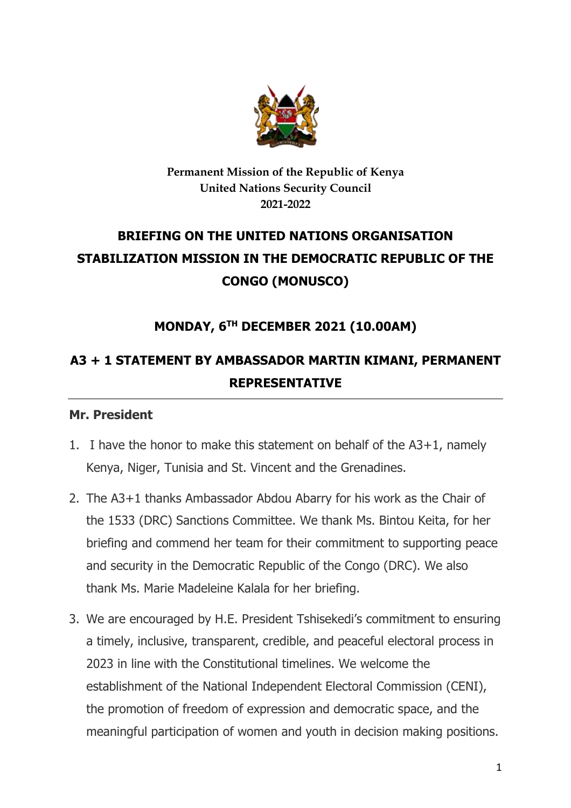

#### **Permanent Mission of the Republic of Kenya United Nations Security Council 2021-2022**

# **BRIEFING ON THE UNITED NATIONS ORGANISATION STABILIZATION MISSION IN THE DEMOCRATIC REPUBLIC OF THE CONGO (MONUSCO)**

## **MONDAY, 6 TH DECEMBER 2021 (10.00AM)**

## **A3 + 1 STATEMENT BY AMBASSADOR MARTIN KIMANI, PERMANENT REPRESENTATIVE**

#### **Mr. President**

- 1. I have the honor to make this statement on behalf of the A3+1, namely Kenya, Niger, Tunisia and St. Vincent and the Grenadines.
- 2. The A3+1 thanks Ambassador Abdou Abarry for his work as the Chair of the 1533 (DRC) Sanctions Committee. We thank Ms. Bintou Keita, for her briefing and commend her team for their commitment to supporting peace and security in the Democratic Republic of the Congo (DRC). We also thank Ms. Marie Madeleine Kalala for her briefing.
- 3. We are encouraged by H.E. President Tshisekedi's commitment to ensuring a timely, inclusive, transparent, credible, and peaceful electoral process in 2023 in line with the Constitutional timelines. We welcome the establishment of the National Independent Electoral Commission (CENI), the promotion of freedom of expression and democratic space, and the meaningful participation of women and youth in decision making positions.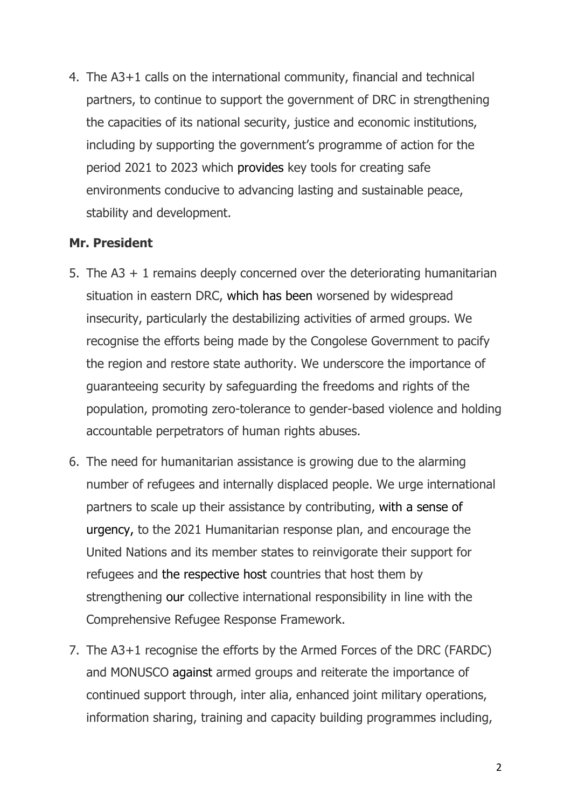4. The A3+1 calls on the international community, financial and technical partners, to continue to support the government of DRC in strengthening the capacities of its national security, justice and economic institutions, including by supporting the government's programme of action for the period 2021 to 2023 which provides key tools for creating safe environments conducive to advancing lasting and sustainable peace, stability and development.

#### **Mr. President**

- 5. The A3 + 1 remains deeply concerned over the deteriorating humanitarian situation in eastern DRC, which has been worsened by widespread insecurity, particularly the destabilizing activities of armed groups. We recognise the efforts being made by the Congolese Government to pacify the region and restore state authority. We underscore the importance of guaranteeing security by safeguarding the freedoms and rights of the population, promoting zero-tolerance to gender-based violence and holding accountable perpetrators of human rights abuses.
- 6. The need for humanitarian assistance is growing due to the alarming number of refugees and internally displaced people. We urge international partners to scale up their assistance by contributing, with a sense of urgency, to the 2021 Humanitarian response plan, and encourage the United Nations and its member states to reinvigorate their support for refugees and the respective host countries that host them by strengthening our collective international responsibility in line with the Comprehensive Refugee Response Framework.
- 7. The A3+1 recognise the efforts by the Armed Forces of the DRC (FARDC) and MONUSCO against armed groups and reiterate the importance of continued support through, inter alia, enhanced joint military operations, information sharing, training and capacity building programmes including,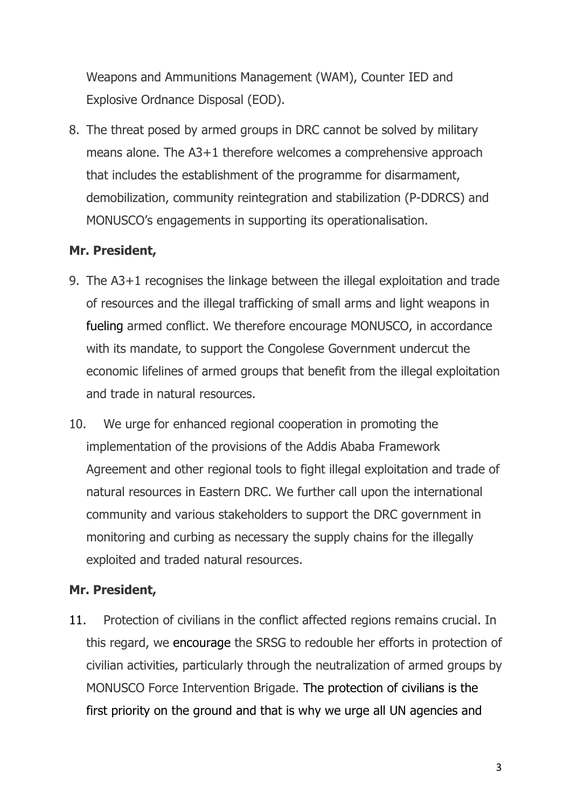Weapons and Ammunitions Management (WAM), Counter IED and Explosive Ordnance Disposal (EOD).

8. The threat posed by armed groups in DRC cannot be solved by military means alone. The A3+1 therefore welcomes a comprehensive approach that includes the establishment of the programme for disarmament, demobilization, community reintegration and stabilization (P-DDRCS) and MONUSCO's engagements in supporting its operationalisation.

## **Mr. President,**

- 9. The A3+1 recognises the linkage between the illegal exploitation and trade of resources and the illegal trafficking of small arms and light weapons in fueling armed conflict. We therefore encourage MONUSCO, in accordance with its mandate, to support the Congolese Government undercut the economic lifelines of armed groups that benefit from the illegal exploitation and trade in natural resources.
- 10. We urge for enhanced regional cooperation in promoting the implementation of the provisions of the Addis Ababa Framework Agreement and other regional tools to fight illegal exploitation and trade of natural resources in Eastern DRC. We further call upon the international community and various stakeholders to support the DRC government in monitoring and curbing as necessary the supply chains for the illegally exploited and traded natural resources.

## **Mr. President,**

11. Protection of civilians in the conflict affected regions remains crucial. In this regard, we encourage the SRSG to redouble her efforts in protection of civilian activities, particularly through the neutralization of armed groups by MONUSCO Force Intervention Brigade. The protection of civilians is the first priority on the ground and that is why we urge all UN agencies and